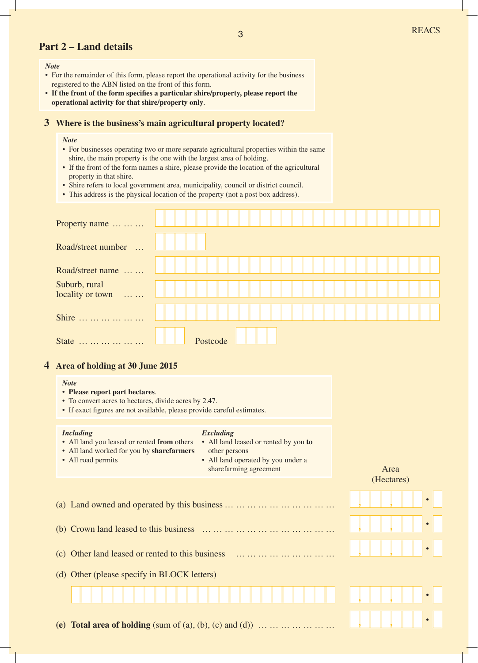## **Part 2 – Land details**

#### *Note*

- For the remainder of this form, please report the operational activity for the business registered to the ABN listed on the front of this form.
- **If the front of the form specifies a particular shire/property, please report the operational activity for that shire/property only**.

## **3 Where is the business's main agricultural property located?**

#### *Note*

- For businesses operating two or more separate agricultural properties within the same shire, the main property is the one with the largest area of holding.
- If the front of the form names a shire, please provide the location of the agricultural property in that shire.
- Shire refers to local government area, municipality, council or district council.
- This address is the physical location of the property (not a post box address).

| Property name                     |          |  |
|-----------------------------------|----------|--|
| Road/street number<br>$\dddotsc$  |          |  |
| Road/street name                  |          |  |
| Suburb, rural<br>locality or town |          |  |
| Shire                             |          |  |
| <b>State</b><br>.                 | Postcode |  |

## **4 Area of holding at 30 June 2015**

#### *Note*

## • **Please report part hectares**.

- To convert acres to hectares, divide acres by 2.47.
- If exact figures are not available, please provide careful estimates.

#### *Including*

• All road permits

#### *Excluding*

- All land you leased or rented **from** others
- All land worked for you by **sharefarmers**
- All land leased or rented by you **to** other persons • All land operated by you under a
	- sharefarming agreement

Area (Hectares)

|                                                                                                                | $\bullet$ |
|----------------------------------------------------------------------------------------------------------------|-----------|
| (b) Crown land leased to this business $\ldots \ldots \ldots \ldots \ldots \ldots \ldots \ldots \ldots \ldots$ | $\bullet$ |
| (c) Other land leased or rented to this business                                                               | $\bullet$ |
| (d) Other (please specify in BLOCK letters)                                                                    |           |
|                                                                                                                | $\bullet$ |
| (e) Total area of holding (sum of (a), (b), (c) and (d)) $\dots \dots \dots \dots \dots$                       | $\bullet$ |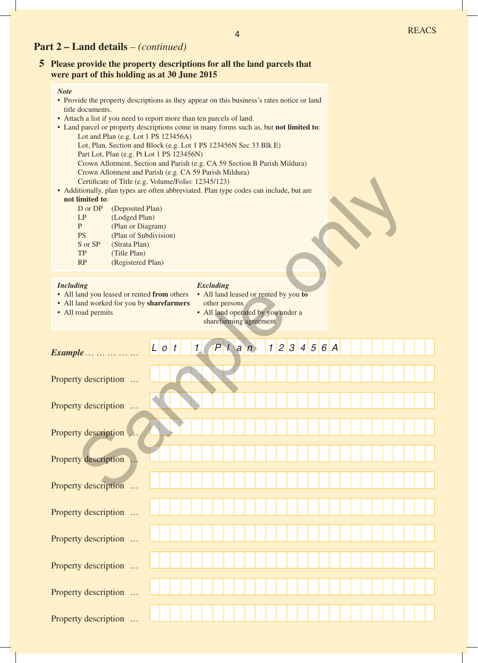## **Part 2 – Land details** *– (continued)*

## **5 Please provide the property descriptions for all the land parcels that were part of this holding as at 30 June 2015**

#### *Note*

- Provide the property descriptions as they appear on this business's rates notice or land title documents.
- Attach a list if you need to report more than ten parcels of land.
- Land parcel or property descriptions come in many forms such as, but **not limited to**: Lot and Plan (e.g. Lot 1 PS 123456A) Lot, Plan, Section and Block (e.g. Lot 1 PS 123456N Sec 33 Blk E) Part Lot, Plan (e.g. Pt Lot 1 PS 123456N) Crown Allotment, Section and Parish (e.g. CA 59 Section B Parish Mildura) Crown Allotment and Parish (e.g. CA 59 Parish Mildura)
	- Certificate of Title (e.g. Volume/Folio: 12345/123)
- Additionally, plan types are often abbreviated. Plan type codes can include, but are **not limited to**:

| D or DP   | (Deposited Plan)      |
|-----------|-----------------------|
|           |                       |
| LP        | (Lodged Plan)         |
| P         | (Plan or Diagram)     |
| <b>PS</b> | (Plan of Subdivision) |
| S or SP   | (Strata Plan)         |
| TP        | (Title Plan)          |
| <b>RP</b> | (Registered Plan)     |

#### *Including*

#### *Excluding*

- All land you leased or rented **from** others
- All land worked for you by **sharefarmers**
- All road permits
- All land leased or rented by you **to** other persons • All land operated by you under a
- sharefarming agreement

| • Additionally, plan types are often abbreviated. Plan type codes can include, but are<br>not limited to:<br>D or DP<br>LP<br>${\bf P}$<br><b>PS</b><br>S or SP<br><b>TP</b><br>RP | Certificate of Title (e.g. Volume/Folio: 12345/123)<br>(Deposited Plan)<br>(Lodged Plan)<br>(Plan or Diagram)<br>(Plan of Subdivision)<br>(Strata Plan)<br>(Title Plan)<br>(Registered Plan) |         |               |                                   |                                                                                                       |  |  |               |  |  |  |  |
|------------------------------------------------------------------------------------------------------------------------------------------------------------------------------------|----------------------------------------------------------------------------------------------------------------------------------------------------------------------------------------------|---------|---------------|-----------------------------------|-------------------------------------------------------------------------------------------------------|--|--|---------------|--|--|--|--|
| <b>Including</b><br>• All land you leased or rented from others<br>• All land worked for you by sharefarmers<br>• All road permits                                                 |                                                                                                                                                                                              |         |               | <b>Excluding</b><br>other persons | • All land leased or rented by you to<br>• All land operated by you under a<br>sharefarming agreement |  |  |               |  |  |  |  |
| $Example \ldots \ldots \ldots$                                                                                                                                                     |                                                                                                                                                                                              | $L$ o t | $\mathcal{I}$ | P                                 | an                                                                                                    |  |  | 1 2 3 4 5 6 A |  |  |  |  |
| Property description                                                                                                                                                               |                                                                                                                                                                                              |         |               |                                   |                                                                                                       |  |  |               |  |  |  |  |
| Property description                                                                                                                                                               | $\ddots$                                                                                                                                                                                     |         |               |                                   |                                                                                                       |  |  |               |  |  |  |  |
| Property description                                                                                                                                                               |                                                                                                                                                                                              |         |               |                                   |                                                                                                       |  |  |               |  |  |  |  |
| <b>Property description</b>                                                                                                                                                        |                                                                                                                                                                                              |         |               |                                   |                                                                                                       |  |  |               |  |  |  |  |
| <b>Property description</b>                                                                                                                                                        | $\ldots$                                                                                                                                                                                     |         |               |                                   |                                                                                                       |  |  |               |  |  |  |  |
| Property description                                                                                                                                                               |                                                                                                                                                                                              |         |               |                                   |                                                                                                       |  |  |               |  |  |  |  |
| Property description                                                                                                                                                               |                                                                                                                                                                                              |         |               |                                   |                                                                                                       |  |  |               |  |  |  |  |
| Property description                                                                                                                                                               |                                                                                                                                                                                              |         |               |                                   |                                                                                                       |  |  |               |  |  |  |  |
| Property description                                                                                                                                                               |                                                                                                                                                                                              |         |               |                                   |                                                                                                       |  |  |               |  |  |  |  |
| Property description                                                                                                                                                               |                                                                                                                                                                                              |         |               |                                   |                                                                                                       |  |  |               |  |  |  |  |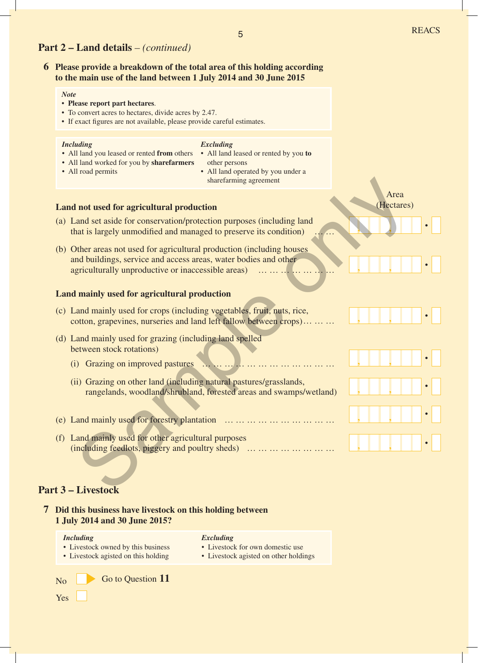## **Part 2 – Land details** *– (continued)*

## **6 Please provide a breakdown of the total area of this holding according to the main use of the land between 1 July 2014 and 30 June 2015**

#### *Note*

#### • **Please report part hectares**.

- To convert acres to hectares, divide acres by 2.47.
- If exact figures are not available, please provide careful estimates.

#### *Including*

#### *Excluding*

- All land you leased or rented **from** others
	- All land leased or rented by you **to** other persons
- All land worked for you by **sharefarmers** • All road permits
- All land operated by you under a sharefarming agreement

#### **Land not used for agricultural production**

- (a) Land set aside for conservation/protection purposes (including land that is largely unmodified and managed to preserve its condition) …
- (b) Other areas not used for agricultural production (including houses and buildings, service and access areas, water bodies and other agriculturally unproductive or inaccessible areas) … … … … Surfaming agreement<br>
Area<br>
and set aside for conservation/protection purposes (including land<br>
and set aside for conservation/protection purposes (including land<br>
and this largely unmodified and managed to preserve its con

## **Land mainly used for agricultural production**

- (c) Land mainly used for crops (including vegetables, fruit, nuts, rice, cotton, grapevines, nurseries and land left fallow between crops) … … **, ,**
- (d) Land mainly used for grazing (including land spelled between stock rotations)
	- (i) Grazing on improved pastures … … … … … … … … … … … **, ,**
	- (ii) Grazing on other land (including natural pastures/grasslands, rangelands, woodland/shrubland, forested areas and swamps/wetland) **, ,**
- (e) Land mainly used for forestry plantation … … … … … … … … … **, ,**
- (f) Land mainly used for other agricultural purposes (including feedlots, piggery and poultry sheds) … … … … … … … **, ,**

## **Part 3 – Livestock**

| Did this business have livestock on this holding between<br>1 July 2014 and 30 June 2015? |                                                                                        |
|-------------------------------------------------------------------------------------------|----------------------------------------------------------------------------------------|
| Including<br>• Livestock owned by this business<br>• Livestock agisted on this holding    | Excluding<br>• Livestock for own domestic use<br>• Livestock agisted on other holdings |
| Go to Question 11<br>N <sub>0</sub>                                                       |                                                                                        |
| Yes                                                                                       |                                                                                        |

**, ,**

Area (Hectares)

**, , .**

**.**

**.**

**.**

**.**

**.**

**.**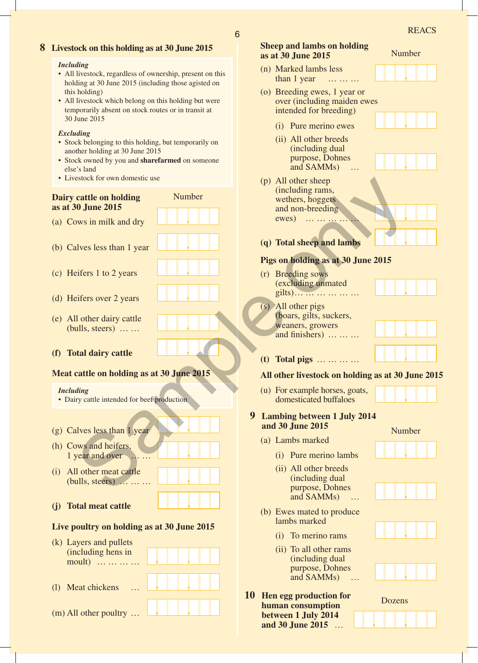## **8 Livestock on this holding as at 30 June 2015**

#### *Including*

- All livestock, regardless of ownership, present on this holding at 30 June 2015 (including those agisted on this holding)
- All livestock which belong on this holding but were temporarily absent on stock routes or in transit at 30 June 2015

#### *Excluding*

- Stock belonging to this holding, but temporarily on another holding at 30 June 2015
- Stock owned by you and **sharefarmed** on someone else's land
- Livestock for own domestic use

## **Dairy cattle on holding as at 30 June 2015**

- (a) Cows in milk and dry
- (b) Calves less than 1 year
- (c) Heifers 1 to 2 years
- (d) Heifers over 2 years
- (e) All other dairy cattle (bulls, steers) … …
- **(f) Total dairy cattle**

#### **Meat cattle on holding as at 30 June 2015**

**,**

**,**

**,**

**,**

Number

**,**

**,**

#### *Including*

- Dairy cattle intended for beef production
- (g) Calves less than 1 year **,**
- (h) Cows and heifers, 1 year and over
- (i) All other meat cattle (bulls, steers) … … … **,**
- **(j) Total meat cattle ,**

## **Live poultry on holding as at 30 June 2015**

**, ,**

- (k) Layers and pullets (including hens in moult) … … …
- (l) Meat chickens … **, ,**
- (m) All other poultry … **, ,**

| 6 |                                                         |        | <b>REACS</b> |  |
|---|---------------------------------------------------------|--------|--------------|--|
|   | <b>Sheep and lambs on holding</b><br>as at 30 June 2015 | Number |              |  |
|   | (n) Marked lambs less<br>than 1 year                    |        |              |  |

- (o) Breeding ewes, 1 year or over (including maiden ewes intended for breeding)
	- **,** (i) Pure merino ewes

- (ii) All other breeds (including dual purpose, Dohnes and SAMMs)
- (p) All other sheep (including rams, wethers, hoggets and non-breeding ewes) … … … … … estock for own domestic use<br>
(a) All other sheets (a) and political differences and political differences in the set of the state of the state of the state of the collision of the state of the state of the collision of the



**, (q) Total sheep and lambs**

## **Pigs on holding as at 30 June 2015**

- (r) Breeding sows (excluding unmated gilts) … … … … … …
- (s) All other pigs (boars, gilts, suckers, weaners, growers and finishers) … … …





**, (t) Total pigs** … … … …

#### **All other livestock on holding as at 30 June 2015**

**,** (u) For example horses, goats, domesticated buffaloes

## **9 Lambing between 1 July 2014 and 30 June 2015**

- (a) Lambs marked
	- (i) Pure merino lambs
	- (ii) All other breeds (including dual purpose, Dohnes and SAMMs) …
- (b) Ewes mated to produce lambs marked
	- **,** (i) To merino rams
	- (ii) To all other rams (including dual purpose, Dohnes and SAMMs) …
- **10 Hen egg production for human consumption between 1 July 2014 and 30 June 2015** … **, ,**











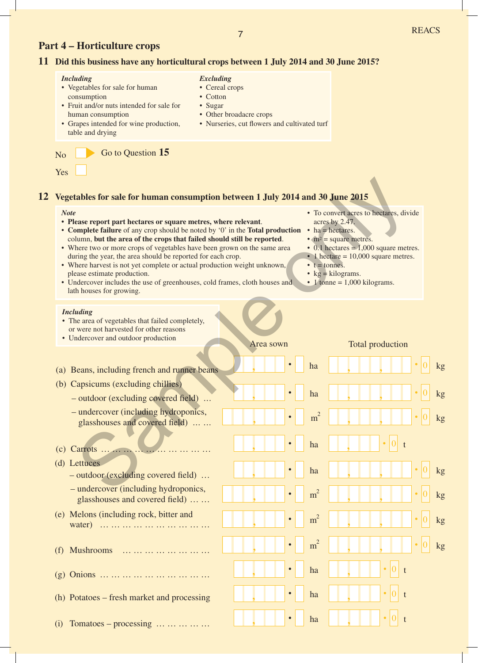kg

0

0

0

0

0

0

kg

kg

kg

kg

kg

kg

#### <sup>7</sup> REACS **Part 4 – Horticulture crops 11 Did this business have any horticultural crops between 1 July 2014 and 30 June 2015?** No Go to Question 15 Yes *Including* • Vegetables for sale for human consumption • Fruit and/or nuts intended for sale for human consumption • Grapes intended for wine production, table and drying *Excluding* • Cereal crops • Cotton • Sugar • Other broadacre crops • Nurseries, cut flowers and cultivated turf **12 Vegetables for sale for human consumption between 1 July 2014 and 30 June 2015** *Note* **• Please report part hectares or square metres, where relevant**. • **Complete failure** of any crop should be noted by '0' in the **Total production** column, **but the area of the crops that failed should still be reported**. • Where two or more crops of vegetables have been grown on the same area during the year, the area should be reported for each crop. • Where harvest is not yet complete or actual production weight unknown, please estimate production. • Undercover includes the use of greenhouses, cold frames, cloth houses and lath houses for growing. *Including* • The area of vegetables that failed completely, or were not harvested for other reasons • Undercover and outdoor production acres by 2.47. • ha = hectares. •  $m^2$  = square metres. • 1 hectare = 10,000 square metres.  $\bullet$  t = tonnes. •  $kg = kilograms.$  $\cdot$  1 tonne = 1,000 kilograms. (a) Beans, including french and runner beans **, . , ,** Area sown Total production (c) Carrots … … … … … … … … … … **.** <sup>0</sup> <sup>t</sup> **, ,** (b) Capsicums (excluding chillies) **. , , ,** – outdoor (excluding covered field) ... **. , , ,** – undercover (including hydroponics, glasshouses and covered field) ... ... **. , , ,** (d) Lettuces – outdoor (excluding covered field) … **. , , ,** – undercover (including hydroponics, glasshouses and covered field) … … **. , ,** (e) Melons (including rock, bitter and water) … … … … … … … … … **, , . , ,** <sup>0</sup> (f) Mushrooms … … … … … … … **, .** 0 t **. . . . . . . . .** ha ha ha  $m<sup>2</sup>$ ha  $m<sup>2</sup>$  $m<sup>2</sup>$  $m<sup>2</sup>$ **Example to the control of the control of the control of the control of the control of the control of the control of the control of the control of the control of the control of the control of the control of the control of**

- (g) Onions … … … … … … … … … … **,**
- (h) Potatoes fresh market and processing **,**
- $(i)$  Tomatoes processing  $\dots \dots \dots \dots$
- To convert acres to hectares, divide
- 0.1 hectares  $= 1,000$  square metres.

**, .**

**.**

ha

ha

ha

**. ,**

**, .**

0

t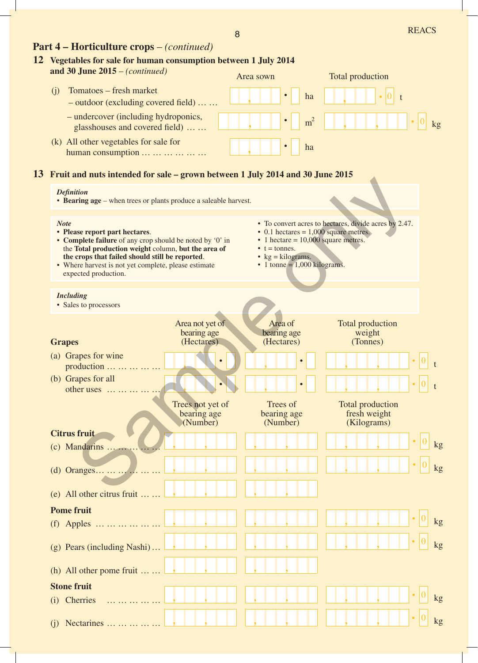## **Part 4 – Horticulture crops** – *(continued)*

## **12 Vegetables for sale for human consumption between 1 July 2014**

| and 30 June $2015 - (continued)$                                       | Area sown |                | Total production |       |
|------------------------------------------------------------------------|-----------|----------------|------------------|-------|
| Tomatoes – fresh market<br>$-$ outdoor (excluding covered field)       |           | ha             |                  |       |
| - undercover (including hydroponics,<br>glasshouses and covered field) | $\cdot$   | m <sup>2</sup> | .                | $k$ g |
| (k) All other vegetables for sale for<br>human consumption             |           | ha             |                  |       |

## **13 Fruit and nuts intended for sale – grown between 1 July 2014 and 30 June 2015**

#### *Definition*

• **Bearing age** – when trees or plants produce a saleable harvest.

#### **Grapes** (a) Grapes for wine production … … … … (b) Grapes for all other uses … … … … **Citrus fruit**  $(c)$  Mandarins  $\dots \dots$ (d) Oranges … … … … … … (e) All other citrus fruit … … (h) All other pome fruit … … (g) Pears (including Nashi) … **Pome fruit** (f) Apples … … … … … … (j) Nectarines … … … … … (i) Cherries … … … … … **Stone fruit** Total production fresh weight (Kilograms) Trees not yet of bearing age (Number) Trees of bearing age (Number) **, , , , .** <sup>0</sup> **, , , , , , , , , , , , , , .** <sup>0</sup> **, , , , , , .** <sup>0</sup> **, , , , , , .** <sup>0</sup> **, , , , , , .** <sup>0</sup> **, , , , , , . . , , , ) . 0** Total production weight (Tonnes) **.** <sup>0</sup> **, , .** <sup>0</sup> **, ,** kg kg kg kg kg kg t t Area of bearing age (Hectares) **, , . .** Area not yet of bearing age (Hectares) **, , . .** *Note* **• Please report part hectares**. • **Complete failure** of any crop should be noted by '0' in the **Total production weight** column, **but the area of the crops that failed should still be reported**. • Where harvest is not yet complete, please estimate expected production. • To convert acres to hectares, divide acres by 2.47. • 0.1 hectares  $= 1,000$  square metres.  $\cdot$  1 hectare = 10,000 square metres.  $\bullet$  t = tonnes. •  $kg = kilograms.$  $\cdot$  1 tonne = 1,000 kilograms. *Including* • Sales to processors Mathematical Control of the Control of the Control of the Control of the Control of the Control of the Control of the Control of the Control of the Control of the Control of the Control of the Control of the Control of the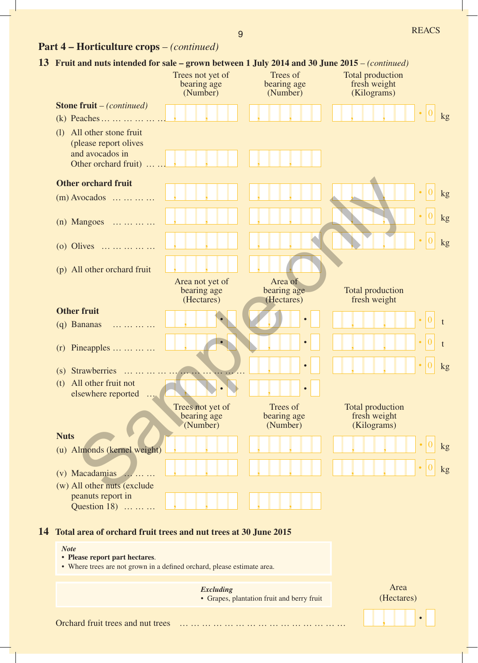# **Part 4 – Horticulture crops** – *(continued)*

|    | 13 Fruit and nuts intended for sale – grown between 1 July 2014 and 30 June 2015 – (continued)                           |                                                                                                |                                            |                                                        |               |
|----|--------------------------------------------------------------------------------------------------------------------------|------------------------------------------------------------------------------------------------|--------------------------------------------|--------------------------------------------------------|---------------|
|    |                                                                                                                          | Trees not yet of<br>bearing age<br>(Number)                                                    | Trees of<br>bearing age<br>(Number)        | <b>Total production</b><br>fresh weight<br>(Kilograms) |               |
|    | <b>Stone fruit</b> – (continued)                                                                                         |                                                                                                |                                            |                                                        |               |
|    | (k) Peaches                                                                                                              |                                                                                                |                                            |                                                        | kg            |
|    | All other stone fruit<br>(1)<br>(please report olives<br>and avocados in<br>Other orchard fruit)                         |                                                                                                |                                            |                                                        |               |
|    | <b>Other orchard fruit</b>                                                                                               |                                                                                                |                                            |                                                        |               |
|    | $(m)$ Avocados                                                                                                           |                                                                                                |                                            |                                                        | $\mathbf{kg}$ |
|    | $(n)$ Mangoes                                                                                                            |                                                                                                |                                            |                                                        | kg            |
|    |                                                                                                                          |                                                                                                |                                            |                                                        |               |
|    | (o) Olives                                                                                                               |                                                                                                |                                            |                                                        | kg            |
|    | (p) All other orchard fruit                                                                                              |                                                                                                |                                            |                                                        |               |
|    |                                                                                                                          | Area not yet of<br>bearing age<br>(Hectares)                                                   | Area of<br>bearing age<br>(Hectares)       | <b>Total production</b><br>fresh weight                |               |
|    | <b>Other fruit</b>                                                                                                       |                                                                                                |                                            |                                                        |               |
|    | (q) Bananas<br>$\cdot \cdot \cdot \cdot \cdot \cdot$                                                                     |                                                                                                |                                            |                                                        |               |
|    | $(r)$ Pineapples                                                                                                         |                                                                                                |                                            |                                                        | t             |
|    | (s) Strawberries<br>.                                                                                                    |                                                                                                |                                            |                                                        | kg            |
|    | All other fruit not<br>(t)<br>elsewhere reported                                                                         | $\sqrt{1 + \frac{1}{2} + \frac{1}{2} + \frac{1}{2} + \frac{1}{2} + \frac{1}{2} + \frac{1}{2}}$ | $\bullet$                                  |                                                        |               |
|    |                                                                                                                          | Trees not yet of<br>bearing age<br>(Number)                                                    | Trees of<br>bearing age<br>(Number)        | Total production<br>fresh weight<br>(Kilograms)        |               |
|    | <b>Nuts</b>                                                                                                              |                                                                                                |                                            |                                                        |               |
|    | (u) Almonds (kernel weight)                                                                                              |                                                                                                |                                            |                                                        | kg            |
|    | (v) Macadamias                                                                                                           |                                                                                                |                                            |                                                        | kg            |
|    | (w) All other nuts (exclude                                                                                              |                                                                                                |                                            |                                                        |               |
|    | peanuts report in<br>Question 18)                                                                                        |                                                                                                |                                            |                                                        |               |
|    |                                                                                                                          |                                                                                                |                                            |                                                        |               |
| 14 | Total area of orchard fruit trees and nut trees at 30 June 2015                                                          |                                                                                                |                                            |                                                        |               |
|    | <b>Note</b><br>• Please report part hectares.<br>• Where trees are not grown in a defined orchard, please estimate area. |                                                                                                |                                            |                                                        |               |
|    |                                                                                                                          |                                                                                                |                                            | Area                                                   |               |
|    |                                                                                                                          | <b>Excluding</b>                                                                               | • Grapes, plantation fruit and berry fruit | (Hectares)                                             |               |

Orchard fruit trees and nut trees … … … … … … … … … … … … … … …

 $\mathcal{L}_{\mathcal{A}}$ 

**. ,**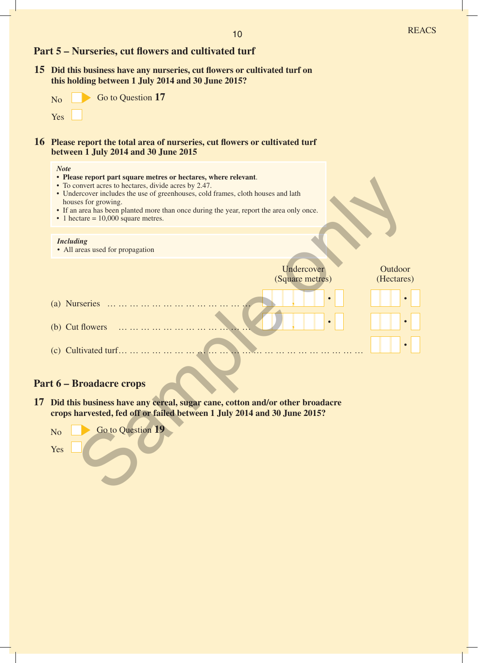## **Part 5 – Nurseries, cut flowers and cultivated turf**

**15 Did this business have any nurseries, cut flowers or cultivated turf on this holding between 1 July 2014 and 30 June 2015?**

| N <sub>o</sub> | Go to Question 17 |
|----------------|-------------------|
| Yes            |                   |

## **16 Please report the total area of nurseries, cut flowers or cultivated turf between 1 July 2014 and 30 June 2015**

### *Note*

- **• Please report part square metres or hectares, where relevant**.
- To convert acres to hectares, divide acres by 2.47.
- Undercover includes the use of greenhouses, cold frames, cloth houses and lath houses for growing.
- If an area has been planted more than once during the year, report the area only once.
- 1 hectare  $= 10,000$  square metres.

### *Including*

• All areas used for propagation



## **Part 6 – Broadacre crops**

**17 Did this business have any cereal, sugar cane, cotton and/or other broadacre crops harvested, fed off or failed between 1 July 2014 and 30 June 2015?**

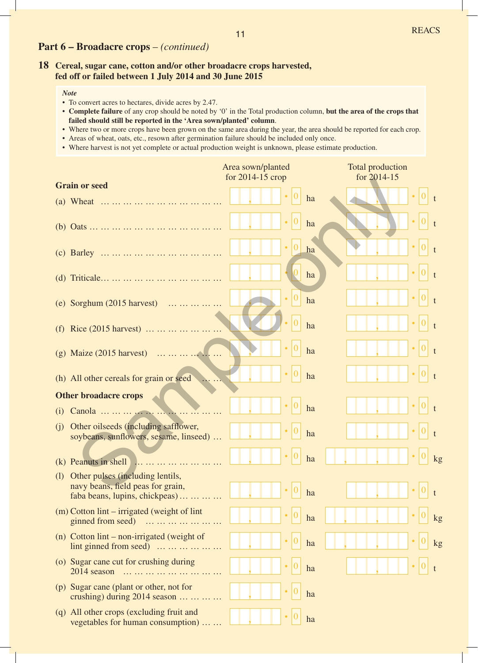## **Part 6 – Broadacre crops** – *(continued)*

## **18 Cereal, sugar cane, cotton and/or other broadacre crops harvested, fed off or failed between 1 July 2014 and 30 June 2015**

- To convert acres to hectares, divide acres by 2.47.
- **Complete failure** of any crop should be noted by '0' in the Total production column, **but the area of the crops that failed should still be reported in the 'Area sown/planted' column**.
- Where two or more crops have been grown on the same area during the year, the area should be reported for each crop.
- Areas of wheat, oats, etc., resown after germination failure should be included only once.
- Where harvest is not yet complete or actual production weight is unknown, please estimate production.

|     |                                                                                                         | Area sown/planted |    | <b>Total production</b> |    |
|-----|---------------------------------------------------------------------------------------------------------|-------------------|----|-------------------------|----|
|     | <b>Grain or seed</b>                                                                                    | for 2014-15 crop  |    | for 2014-15             |    |
|     |                                                                                                         |                   | ha |                         |    |
|     |                                                                                                         |                   | ha |                         |    |
|     |                                                                                                         |                   | ha |                         |    |
|     |                                                                                                         |                   | ha |                         |    |
|     | (e) Sorghum (2015 harvest)                                                                              |                   | ha |                         |    |
|     | (f) Rice $(2015 \text{ harvest})$                                                                       |                   | ha |                         |    |
|     | (g) Maize $(2015 \text{ harvest})$                                                                      |                   | ha |                         |    |
|     | (h) All other cereals for grain or seed                                                                 |                   | ha |                         |    |
|     | <b>Other broadacre crops</b>                                                                            |                   |    |                         |    |
| (i) |                                                                                                         |                   | ha |                         |    |
| (i) | Other oilseeds (including safflower,<br>soybeans, sunflowers, sesame, linseed)                          |                   | ha |                         |    |
| (k) |                                                                                                         |                   | ha |                         | kg |
| (1) | Other pulses (including lentils,<br>navy beans, field peas for grain,<br>faba beans, lupins, chickpeas) |                   | ha |                         |    |
|     | $(m)$ Cotton lint – irrigated (weight of lint)<br>ginned from seed)                                     |                   | ha |                         | kg |
|     | (n) Cotton $\text{lint}$ – non-irrigated (weight of<br>$\text{lint}$ ginned from seed)                  |                   | ha |                         | kg |
|     | (o) Sugar cane cut for crushing during<br>2014 season                                                   |                   | ha |                         |    |
|     | (p) Sugar cane (plant or other, not for<br>crushing) during $2014$ season                               |                   | ha |                         |    |
|     | (q) All other crops (excluding fruit and<br>vegetables for human consumption)                           |                   | ha |                         |    |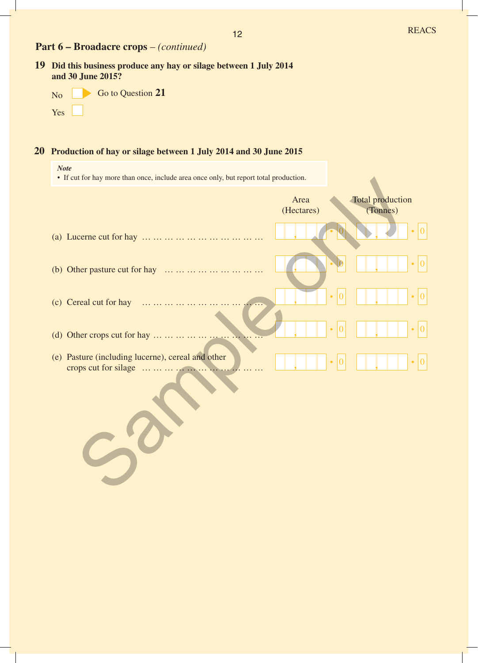## **Part 6 – Broadacre crops** – *(continued)*

**19 Did this business produce any hay or silage between 1 July 2014 and 30 June 2015?**

| N <sub>o</sub> | Go to Question 21 |
|----------------|-------------------|
| Yes            |                   |

*Note*

## **20 Production of hay or silage between 1 July 2014 and 30 June 2015**

Sample only

| • If cut for hay more than once, include area once only, but report total production. |                    |                              |
|---------------------------------------------------------------------------------------|--------------------|------------------------------|
|                                                                                       | Area<br>(Hectares) | Total production<br>(Tonnes) |
|                                                                                       |                    |                              |
| Other pasture cut for hay<br>(b)                                                      |                    |                              |
| Cereal cut for hay<br>(c)                                                             |                    |                              |
| Other crops cut for hay<br>(d)                                                        |                    |                              |
| (e) Pasture (including lucerne), cereal and other                                     |                    |                              |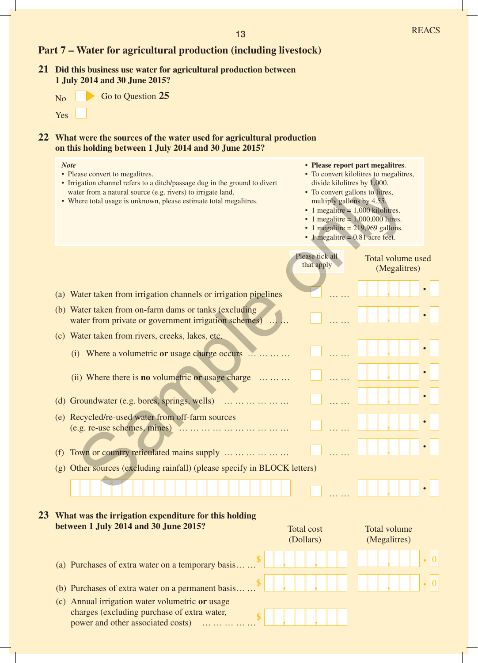|  |  | <b>Part 7 – Water for agricultural production (including livestock)</b> |  |
|--|--|-------------------------------------------------------------------------|--|
|  |  |                                                                         |  |

**21 Did this business use water for agricultural production between 1 July 2014 and 30 June 2015?**



**22 What were the sources of the water used for agricultural production on this holding between 1 July 2014 and 30 June 2015?**

| <b>Note</b><br>• Please convert to megalitres.<br>• Irrigation channel refers to a ditch/passage dug in the ground to divert<br>water from a natural source (e.g. rivers) to irrigate land.<br>• Where total usage is unknown, please estimate total megalitres. | • Please report part megalitres.<br>• To convert kilolitres to megalitres,<br>divide kilolitres by 1,000.<br>• To convert gallons to litres,<br>multiply gallons by 4.55.<br>$\cdot$ 1 megalitre = 1,000 kilolitres.<br>• 1 megalitre = $1,000,000$ litres.<br>$\cdot$ 1 megalitre = 219,969 gallons.<br>• 1 megalitre = $0.81$ acre feet. |
|------------------------------------------------------------------------------------------------------------------------------------------------------------------------------------------------------------------------------------------------------------------|--------------------------------------------------------------------------------------------------------------------------------------------------------------------------------------------------------------------------------------------------------------------------------------------------------------------------------------------|
|                                                                                                                                                                                                                                                                  | Please tick all<br>Total volume used<br>that apply<br>(Megalitres)                                                                                                                                                                                                                                                                         |
| (a) Water taken from irrigation channels or irrigation pipelines                                                                                                                                                                                                 |                                                                                                                                                                                                                                                                                                                                            |
| (b) Water taken from on-farm dams or tanks (excluding<br>water from private or government irrigation schemes)                                                                                                                                                    | $\bullet$                                                                                                                                                                                                                                                                                                                                  |
| (c) Water taken from rivers, creeks, lakes, etc.                                                                                                                                                                                                                 |                                                                                                                                                                                                                                                                                                                                            |
| (i) Where a volumetric or usage charge occurs $\dots \dots$                                                                                                                                                                                                      |                                                                                                                                                                                                                                                                                                                                            |
| (ii) Where there is <b>no</b> volumetric or usage charge $\dots \dots$                                                                                                                                                                                           |                                                                                                                                                                                                                                                                                                                                            |
| (d) Groundwater (e.g. bores, springs, wells)                                                                                                                                                                                                                     | $\bullet$                                                                                                                                                                                                                                                                                                                                  |
| (e) Recycled/re-used water from off-farm sources<br>$(e.g. re-use schemes, mines)$                                                                                                                                                                               | $\bullet$                                                                                                                                                                                                                                                                                                                                  |
| Town or country reticulated mains supply<br>(f)                                                                                                                                                                                                                  |                                                                                                                                                                                                                                                                                                                                            |
| Other sources (excluding rainfall) (please specify in BLOCK letters)<br>(g)                                                                                                                                                                                      |                                                                                                                                                                                                                                                                                                                                            |
|                                                                                                                                                                                                                                                                  |                                                                                                                                                                                                                                                                                                                                            |
| What was the irrigation expenditure for this holding<br>between 1 July 2014 and 30 June 2015?                                                                                                                                                                    | <b>Total volume</b><br><b>Total cost</b><br>(Dollars)<br>(Megalitres)                                                                                                                                                                                                                                                                      |
| (a) Purchases of extra water on a temporary basis.                                                                                                                                                                                                               |                                                                                                                                                                                                                                                                                                                                            |
| (b) Purchases of extra water on a permanent basis                                                                                                                                                                                                                |                                                                                                                                                                                                                                                                                                                                            |
| (c) Annual irrigation water volumetric or usage<br>charges (excluding purchase of extra water,<br>power and other associated costs)<br>.                                                                                                                         |                                                                                                                                                                                                                                                                                                                                            |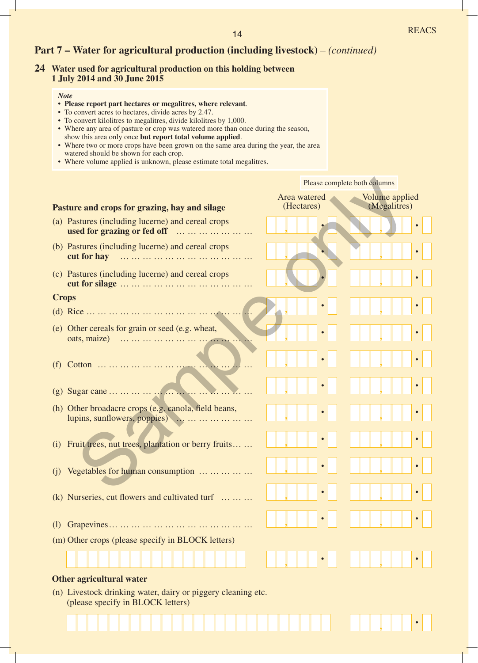## **Part 7 – Water for agricultural production (including livestock)** – *(continued)*

## **24 Water used for agricultural production on this holding between 1 July 2014 and 30 June 2015**

- **• Please report part hectares or megalitres, where relevant**.
- To convert acres to hectares, divide acres by 2.47.
- To convert kilolitres to megalitres, divide kilolitres by 1,000.
- Where any area of pasture or crop was watered more than once during the season, show this area only once **but report total volume applied**.
- Where two or more crops have been grown on the same area during the year, the area watered should be shown for each crop.
- Where volume applied is unknown, please estimate total megalitres.

|                                                                                                   | Please complete both columns                                        |  |  |
|---------------------------------------------------------------------------------------------------|---------------------------------------------------------------------|--|--|
| Pasture and crops for grazing, hay and silage                                                     | Area watered<br><b>Volume applied</b><br>(Hectares)<br>(Megalitres) |  |  |
| (a) Pastures (including lucerne) and cereal crops<br>used for grazing or fed off                  |                                                                     |  |  |
| (b) Pastures (including lucerne) and cereal crops                                                 |                                                                     |  |  |
| (c) Pastures (including lucerne) and cereal crops                                                 |                                                                     |  |  |
| <b>Crops</b>                                                                                      |                                                                     |  |  |
|                                                                                                   | $\bullet$                                                           |  |  |
| (e) Other cereals for grain or seed (e.g. wheat,                                                  | $\bullet$                                                           |  |  |
| (f)                                                                                               | $\bullet$                                                           |  |  |
|                                                                                                   | $\bullet$                                                           |  |  |
| (h) Other broadacre crops (e.g. canola, field beans,<br>lupins, sunflowers, poppies)              | $\bullet$                                                           |  |  |
| Fruit trees, nut trees, plantation or berry fruits<br>(i)                                         | $\bullet$                                                           |  |  |
| Vegetables for human consumption<br>(i)                                                           | $\bullet$                                                           |  |  |
| $(k)$ Nurseries, cut flowers and cultivated turf                                                  | $\bullet$                                                           |  |  |
| (1)                                                                                               |                                                                     |  |  |
| (m) Other crops (please specify in BLOCK letters)                                                 |                                                                     |  |  |
|                                                                                                   |                                                                     |  |  |
| Other agricultural water                                                                          |                                                                     |  |  |
| (n) Livestock drinking water, dairy or piggery cleaning etc.<br>(please specify in BLOCK letters) |                                                                     |  |  |
|                                                                                                   |                                                                     |  |  |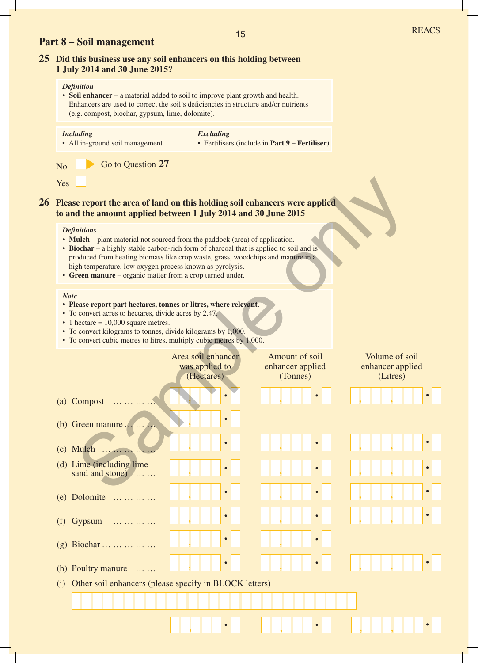## **Part 8 – Soil management**

## **25 Did this business use any soil enhancers on this holding between 1 July 2014 and 30 June 2015?**

#### *Definition*

• **Soil enhancer** – a material added to soil to improve plant growth and health. Enhancers are used to correct the soil's deficiencies in structure and/or nutrients (e.g. compost, biochar, gypsum, lime, dolomite).

#### *Including* • All in-ground soil management *Excluding* • Fertilisers (include in **Part 9 – Fertiliser**)

| No  | Go to Question 27 |  |
|-----|-------------------|--|
| Yes |                   |  |

# **26 Please report the area of land on this holding soil enhancers were applied to and the amount applied between 1 July 2014 and 30 June 2015** rs were applied<br>
ation.<br>
to soil and is<br>
manure in a

#### *Definitions*

- **Mulch** plant material not sourced from the paddock (area) of application.
- **Biochar** a highly stable carbon-rich form of charcoal that is applied to soil and is produced from heating biomass like crop waste, grass, woodchips and manure in a high temperature, low oxygen process known as pyrolysis.
- **Green manure** organic matter from a crop turned under.

- **• Please report part hectares, tonnes or litres, where relevant**.
- To convert acres to hectares, divide acres by 2.47.
- $\cdot$  1 hectare = 10,000 square metres.
- To convert kilograms to tonnes, divide kilograms by 1,000.
- To convert cubic metres to litres, multiply cubic metres by 1,000.

| <b>Note</b><br>• Please report part hectares, tonnes or litres, where relevant.<br>• To convert acres to hectares, divide acres by 2.47.<br>$\cdot$ 1 hectare = 10,000 square metres.<br>• To convert kilograms to tonnes, divide kilograms by 1,000.<br>• To convert cubic metres to litres, multiply cubic metres by 1,000. |                                                    |                                                |                                                |
|-------------------------------------------------------------------------------------------------------------------------------------------------------------------------------------------------------------------------------------------------------------------------------------------------------------------------------|----------------------------------------------------|------------------------------------------------|------------------------------------------------|
|                                                                                                                                                                                                                                                                                                                               | Area soil enhancer<br>was applied to<br>(Hectares) | Amount of soil<br>enhancer applied<br>(Tonnes) | Volume of soil<br>enhancer applied<br>(Litres) |
| (a) Compost                                                                                                                                                                                                                                                                                                                   | $\bullet$                                          |                                                |                                                |
| (b) Green manure                                                                                                                                                                                                                                                                                                              |                                                    |                                                |                                                |
| $(c)$ Mulch                                                                                                                                                                                                                                                                                                                   |                                                    |                                                |                                                |
| (d) Lime (including lime<br>sand and stone)                                                                                                                                                                                                                                                                                   |                                                    |                                                | $\bullet$                                      |
| (e) Dolomite                                                                                                                                                                                                                                                                                                                  |                                                    |                                                | $\bullet$                                      |
| $(f)$ Gypsum<br>.                                                                                                                                                                                                                                                                                                             |                                                    |                                                |                                                |
| (g) Biochar                                                                                                                                                                                                                                                                                                                   | $\bullet$                                          |                                                |                                                |
| (h) Poultry manure<br>$\sim$                                                                                                                                                                                                                                                                                                  |                                                    |                                                |                                                |
| (i) Other soil enhancers (please specify in BLOCK letters)                                                                                                                                                                                                                                                                    |                                                    |                                                |                                                |
|                                                                                                                                                                                                                                                                                                                               |                                                    |                                                |                                                |
|                                                                                                                                                                                                                                                                                                                               | $\bullet$                                          | $\bullet$                                      | $\bullet$                                      |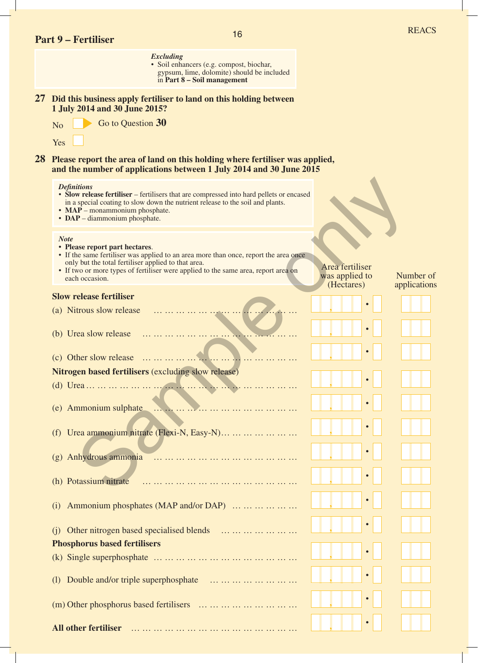|    | <b>Part 9 – Fertiliser</b>                                                                  | 16                                                                                                                                                                         |                                                 | <b>REACS</b>              |
|----|---------------------------------------------------------------------------------------------|----------------------------------------------------------------------------------------------------------------------------------------------------------------------------|-------------------------------------------------|---------------------------|
|    |                                                                                             | <b>Excluding</b><br>· Soil enhancers (e.g. compost, biochar,<br>gypsum, lime, dolomite) should be included<br>in Part 8 – Soil management                                  |                                                 |                           |
|    |                                                                                             | 27 Did this business apply fertiliser to land on this holding between                                                                                                      |                                                 |                           |
|    | 1 July 2014 and 30 June 2015?<br>Go to Question 30<br>N <sub>o</sub>                        |                                                                                                                                                                            |                                                 |                           |
|    | Yes                                                                                         |                                                                                                                                                                            |                                                 |                           |
| 28 |                                                                                             | Please report the area of land on this holding where fertiliser was applied,<br>and the number of applications between 1 July 2014 and 30 June 2015                        |                                                 |                           |
|    | <b>Definitions</b><br>$\cdot$ MAP – monammonium phosphate.<br>• DAP - diammonium phosphate. | • Slow release fertiliser – fertilisers that are compressed into hard pellets or encased<br>in a special coating to slow down the nutrient release to the soil and plants. |                                                 |                           |
|    | <b>Note</b><br>• Please report part hectares.                                               | • If the same fertiliser was applied to an area more than once, report the area once                                                                                       |                                                 |                           |
|    | only but the total fertiliser applied to that area.<br>each occasion.                       | • If two or more types of fertiliser were applied to the same area, report area on                                                                                         | Area fertiliser<br>was applied to<br>(Hectares) | Number of<br>applications |
|    | <b>Slow release fertiliser</b>                                                              |                                                                                                                                                                            |                                                 |                           |
|    | (a) Nitrous slow release                                                                    |                                                                                                                                                                            |                                                 |                           |
|    | (b) Urea slow release                                                                       |                                                                                                                                                                            |                                                 |                           |
|    | (c) Other slow release                                                                      |                                                                                                                                                                            | $\bullet$                                       |                           |
|    | Nitrogen based fertilisers (excluding slow release)                                         |                                                                                                                                                                            |                                                 |                           |
|    |                                                                                             |                                                                                                                                                                            |                                                 |                           |
|    |                                                                                             |                                                                                                                                                                            |                                                 |                           |
|    |                                                                                             | (f) Urea ammonium nitrate (Flexi-N, Easy-N)                                                                                                                                |                                                 |                           |
|    |                                                                                             |                                                                                                                                                                            |                                                 |                           |
|    |                                                                                             | (g) Anhydrous ammonia $\ldots \ldots \ldots \ldots \ldots \ldots \ldots \ldots \ldots \ldots \ldots$                                                                       |                                                 |                           |
|    |                                                                                             |                                                                                                                                                                            |                                                 |                           |
|    | (i)                                                                                         | Ammonium phosphates (MAP and/or DAP)                                                                                                                                       |                                                 |                           |
|    | (i)                                                                                         | Other nitrogen based specialised blends                                                                                                                                    |                                                 |                           |
|    | <b>Phosphorus based fertilisers</b>                                                         |                                                                                                                                                                            |                                                 |                           |
|    |                                                                                             |                                                                                                                                                                            |                                                 |                           |
|    | (1)                                                                                         | Double and/or triple superphosphate                                                                                                                                        |                                                 |                           |
|    |                                                                                             | $(m)$ Other phosphorus based fertilisers                                                                                                                                   |                                                 |                           |
|    | <b>All other fertiliser</b>                                                                 |                                                                                                                                                                            |                                                 |                           |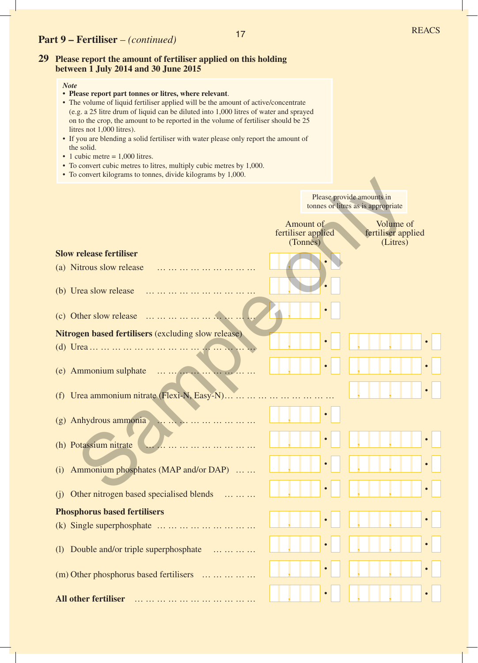## **Part 9 – Fertiliser** – *(continued)*

## **29 Please report the amount of fertiliser applied on this holding between 1 July 2014 and 30 June 2015**

- **• Please report part tonnes or litres, where relevant**.
- The volume of liquid fertiliser applied will be the amount of active/concentrate (e.g. a 25 litre drum of liquid can be diluted into 1,000 litres of water and sprayed on to the crop, the amount to be reported in the volume of fertiliser should be 25 litres not 1,000 litres).
- If you are blending a solid fertiliser with water please only report the amount of the solid.
- 1 cubic metre  $= 1,000$  litres.
- To convert cubic metres to litres, multiply cubic metres by 1,000.
- To convert kilograms to tonnes, divide kilograms by 1,000.

|                                                            | Please provide amounts in<br>tonnes or litres as is appropriate                            |
|------------------------------------------------------------|--------------------------------------------------------------------------------------------|
|                                                            | Volume of<br>Amount of<br>fertiliser applied<br>fertiliser applied<br>(Tonnes)<br>(Litres) |
| <b>Slow release fertiliser</b>                             |                                                                                            |
| (a) Nitrous slow release                                   |                                                                                            |
| (b) Urea slow release                                      |                                                                                            |
| $(c)$ Other slow release                                   |                                                                                            |
| <b>Nitrogen based fertilisers (excluding slow release)</b> |                                                                                            |
|                                                            |                                                                                            |
| (e) Ammonium sulphate                                      | $\bullet$                                                                                  |
| (f) Urea ammonium nitrate (Flexi-N, Easy-N)                |                                                                                            |
| (g) Anhydrous ammonia                                      |                                                                                            |
| (h) Potassium nitrate                                      |                                                                                            |
| (i) Ammonium phosphates (MAP and/or DAP)                   | $\bullet$                                                                                  |
| Other nitrogen based specialised blends<br>(i)             |                                                                                            |
| <b>Phosphorus based fertilisers</b>                        | ___                                                                                        |
| (k) Single superphosphate                                  |                                                                                            |
| (1) Double and/or triple superphosphate<br>.               |                                                                                            |
| (m) Other phosphorus based fertilisers                     |                                                                                            |
| <b>All other fertiliser</b><br>.                           |                                                                                            |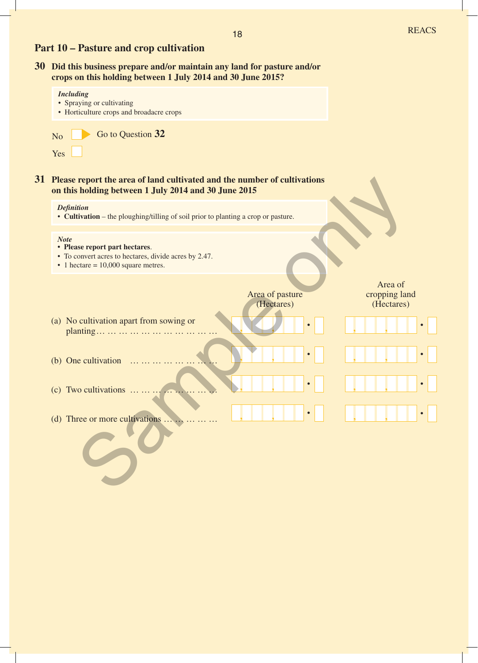## **Part 10 – Pasture and crop cultivation**

*Including*

**30 Did this business prepare and/or maintain any land for pasture and/or crops on this holding between 1 July 2014 and 30 June 2015?**

|    | Including<br>• Spraying or cultivating<br>• Horticulture crops and broadacre crops                                                                  |                               |                                        |
|----|-----------------------------------------------------------------------------------------------------------------------------------------------------|-------------------------------|----------------------------------------|
|    | Go to Question 32<br>N <sub>o</sub><br>Yes                                                                                                          |                               |                                        |
| 31 | Please report the area of land cultivated and the number of cultivations<br>on this holding between 1 July 2014 and 30 June 2015                    |                               |                                        |
|    | <b>Definition</b><br>• Cultivation – the ploughing/tilling of soil prior to planting a crop or pasture.                                             |                               |                                        |
|    | <b>Note</b><br>• Please report part hectares.<br>• To convert acres to hectares, divide acres by 2.47.<br>$\cdot$ 1 hectare = 10,000 square metres. |                               |                                        |
|    |                                                                                                                                                     | Area of pasture<br>(Hectares) | Area of<br>cropping land<br>(Hectares) |
|    | (a) No cultivation apart from sowing or                                                                                                             |                               |                                        |
|    | (b) One cultivation                                                                                                                                 |                               | $\bullet$                              |
|    | (c) Two cultivations $\dots \dots \dots$                                                                                                            |                               | $\bullet$                              |
|    | (d) Three or more cultivations                                                                                                                      |                               |                                        |
|    |                                                                                                                                                     |                               |                                        |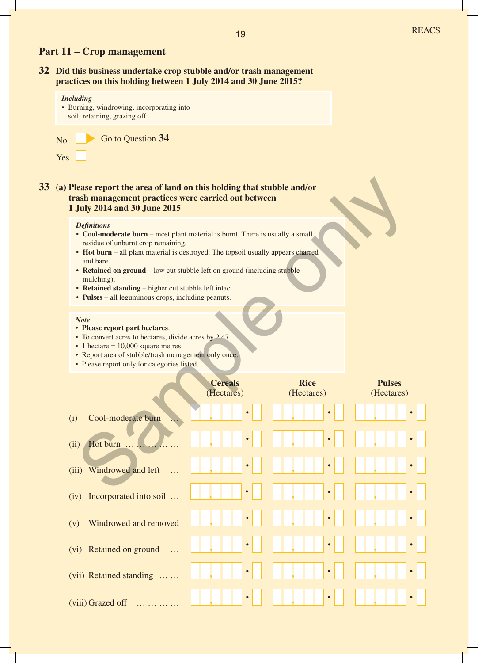## **Part 11 – Crop management**

**32 Did this business undertake crop stubble and/or trash management practices on this holding between 1 July 2014 and 30 June 2015?**

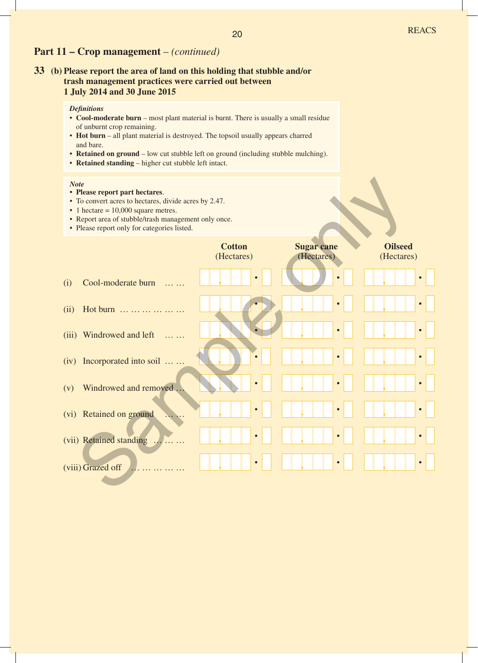## **Part 11 – Crop management** – *(continued)*

## **33 (b) Please report the area of land on this holding that stubble and/or trash management practices were carried out between 1 July 2014 and 30 June 2015**

## *Definitions*

- **Cool-moderate burn** most plant material is burnt. There is usually a small residue of unburnt crop remaining.
- **Hot burn**  all plant material is destroyed. The topsoil usually appears charred and bare.
- **Retained on ground** low cut stubble left on ground (including stubble mulching).
- **Retained standing** higher cut stubble left intact.

- **• Please report part hectares**.
- To convert acres to hectares, divide acres by 2.47.
- 1 hectare = 10,000 square metres.
- Report area of stubble/trash management only once.
- Please report only for categories listed.

| <b>Note</b> | • Please report part hectares.<br>• To convert acres to hectares, divide acres by 2.47.<br>$\cdot$ 1 hectare = 10,000 square metres.<br>• Report area of stubble/trash management only once.<br>• Please report only for categories listed. |                             |                                 |                              |
|-------------|---------------------------------------------------------------------------------------------------------------------------------------------------------------------------------------------------------------------------------------------|-----------------------------|---------------------------------|------------------------------|
|             |                                                                                                                                                                                                                                             | <b>Cotton</b><br>(Hectares) | <b>Sugar cane</b><br>(Hectares) | <b>Oilseed</b><br>(Hectares) |
| (i)         | Cool-moderate burn                                                                                                                                                                                                                          |                             |                                 |                              |
| (ii)        | Hot burn                                                                                                                                                                                                                                    |                             |                                 | $\bullet$                    |
| (iii)       | Windrowed and left<br>$\cdots$                                                                                                                                                                                                              |                             |                                 | $\bullet$                    |
| (iv)        | Incorporated into soil                                                                                                                                                                                                                      |                             |                                 | $\bullet$                    |
| (v)         | Windrowed and removed                                                                                                                                                                                                                       |                             |                                 |                              |
|             | (vi) Retained on ground                                                                                                                                                                                                                     |                             |                                 |                              |
|             | (vii) Retained standing                                                                                                                                                                                                                     |                             |                                 |                              |
|             | (viii) Grazed off                                                                                                                                                                                                                           |                             |                                 |                              |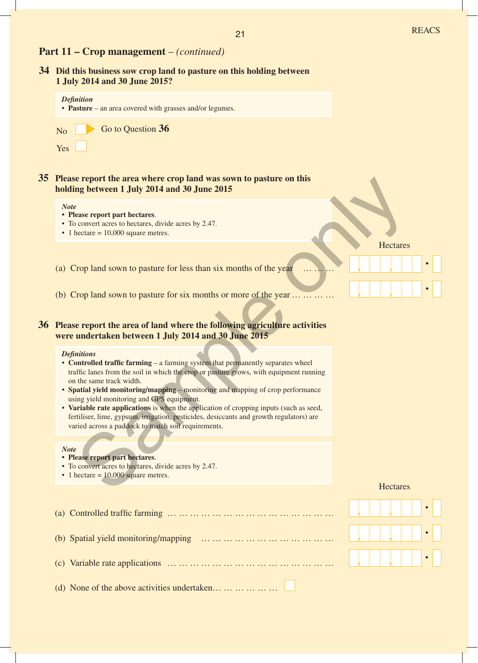## **Part 11 – Crop management** – *(continued)*

| 34 Did this business sow crop land to pasture on this holding between<br>1 July 2014 and 30 June 2015?                                                                                                                                                                                                          |                 |  |
|-----------------------------------------------------------------------------------------------------------------------------------------------------------------------------------------------------------------------------------------------------------------------------------------------------------------|-----------------|--|
| <b>Definition</b><br>• Pasture – an area covered with grasses and/or legumes.                                                                                                                                                                                                                                   |                 |  |
| Go to Question 36<br>N <sub>o</sub><br>Yes                                                                                                                                                                                                                                                                      |                 |  |
| 35 Please report the area where crop land was sown to pasture on this<br>holding between 1 July 2014 and 30 June 2015                                                                                                                                                                                           |                 |  |
| <b>Note</b><br>• Please report part hectares.<br>• To convert acres to hectares, divide acres by 2.47.<br>$\cdot$ 1 hectare = 10,000 square metres.                                                                                                                                                             |                 |  |
| (a) Crop land sown to pasture for less than six months of the year                                                                                                                                                                                                                                              | Hectares        |  |
| (b) Crop land sown to pasture for six months or more of the year                                                                                                                                                                                                                                                |                 |  |
| 36 Please report the area of land where the following agriculture activities<br>were undertaken between 1 July 2014 and 30 June 2015                                                                                                                                                                            |                 |  |
| <b>Definitions</b><br>• Controlled traffic farming – a farming system that permanently separates wheel<br>traffic lanes from the soil in which the crop or pasture grows, with equipment running<br>on the same track width.<br>• Spatial yield monitoring/mapping - monitoring and mapping of crop performance |                 |  |
| using yield monitoring and GPS equipment.<br>• Variable rate applications is when the application of cropping inputs (such as seed,<br>fertiliser, lime, gypsum, irrigation, pesticides, desiccants and growth regulators) are<br>varied across a paddock to match soil requirements.                           |                 |  |
| <b>Note</b><br>• Please report part hectares.<br>• To convert acres to hectares, divide acres by 2.47.<br>• 1 hectare $= 10,000$ square metres.                                                                                                                                                                 |                 |  |
|                                                                                                                                                                                                                                                                                                                 | <b>Hectares</b> |  |
| (a) Controlled traffic farming $\dots \dots \dots \dots \dots \dots \dots \dots \dots \dots \dots \dots \dots \dots \dots$                                                                                                                                                                                      |                 |  |
| (b) Spatial yield monitoring/mapping $\ldots \ldots \ldots \ldots \ldots \ldots \ldots \ldots \ldots \ldots$                                                                                                                                                                                                    |                 |  |
|                                                                                                                                                                                                                                                                                                                 |                 |  |
| (d) None of the above activities undertaken                                                                                                                                                                                                                                                                     |                 |  |

(d) None of the above activities undertaken...  $\dots$  ...  $\dots$  ...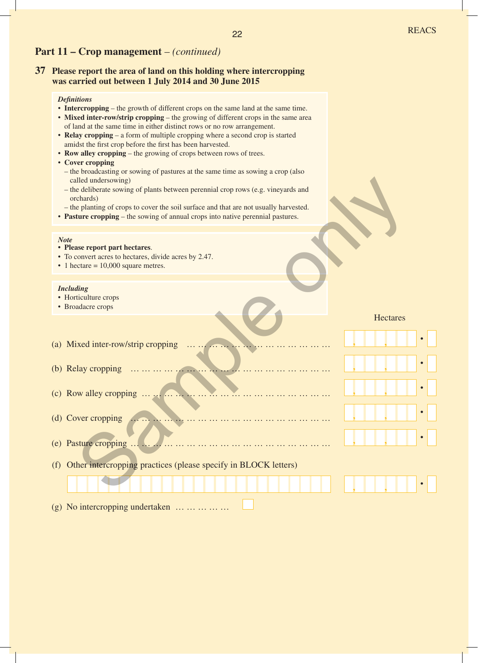## **Part 11 – Crop management** – *(continued)*

## **37 Please report the area of land on this holding where intercropping was carried out between 1 July 2014 and 30 June 2015**

#### *Definitions*

- **Intercropping** the growth of different crops on the same land at the same time.
- Mixed inter-row/strip cropping the growing of different crops in the same area of land at the same time in either distinct rows or no row arrangement.
- **Relay cropping** a form of multiple cropping where a second crop is started amidst the first crop before the first has been harvested.
- **Row alley cropping** the growing of crops between rows of trees.
- **Cover cropping** 
	- the broadcasting or sowing of pastures at the same time as sowing a crop (also called undersowing)
	- the deliberate sowing of plants between perennial crop rows (e.g. vineyards and orchards)
- the planting of crops to cover the soil surface and that are not usually harvested.
- **Pasture cropping** the sowing of annual crops into native perennial pastures.

## *Note*

- **• Please report part hectares**.
- To convert acres to hectares, divide acres by 2.47.
- 1 hectare = 10,000 square metres.

#### *Including*

- Horticulture crops
- Broadacre crops

| called undersowing)<br>- the deliberate sowing of plants between perennial crop rows (e.g. vineyards and<br>orchards)<br>- the planting of crops to cover the soil surface and that are not usually harvested.<br>• Pasture cropping – the sowing of annual crops into native perennial pastures. |                 |
|---------------------------------------------------------------------------------------------------------------------------------------------------------------------------------------------------------------------------------------------------------------------------------------------------|-----------------|
| <b>Note</b><br>• Please report part hectares.<br>• To convert acres to hectares, divide acres by 2.47.<br>$\cdot$ 1 hectare = 10,000 square metres.                                                                                                                                               |                 |
| <b>Including</b><br>• Horticulture crops<br>• Broadacre crops                                                                                                                                                                                                                                     |                 |
| (a) Mixed inter-row/strip cropping                                                                                                                                                                                                                                                                | <b>Hectares</b> |
| (b) Relay cropping                                                                                                                                                                                                                                                                                |                 |
| (c) Row alley cropping                                                                                                                                                                                                                                                                            |                 |
| (d) Cover cropping<br>(e) Pasture cropping                                                                                                                                                                                                                                                        |                 |
| Other intercropping practices (please specify in BLOCK letters)<br>(f)                                                                                                                                                                                                                            |                 |
|                                                                                                                                                                                                                                                                                                   |                 |

(g) No intercropping undertaken … … … … …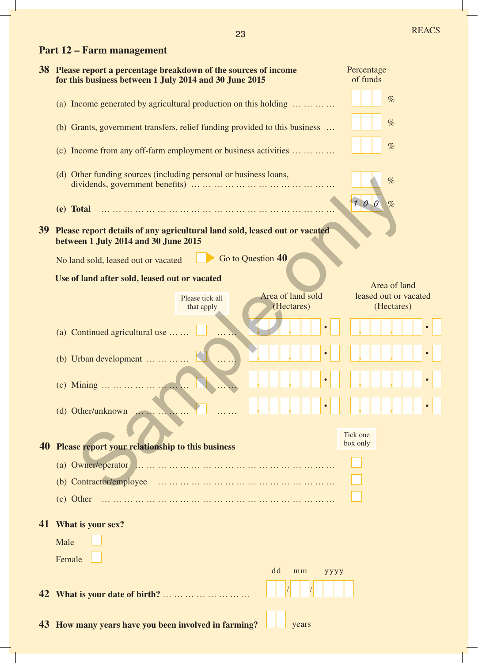|  |  | Part 12 – Farm management |
|--|--|---------------------------|
|--|--|---------------------------|

|                 | 38 Please report a percentage breakdown of the sources of income<br>for this business between 1 July 2014 and 30 June 2015 | Percentage<br>of funds |  |  |  |  |
|-----------------|----------------------------------------------------------------------------------------------------------------------------|------------------------|--|--|--|--|
|                 | (a) Income generated by agricultural production on this holding $\dots \dots \dots$                                        | $\%$                   |  |  |  |  |
|                 | (b) Grants, government transfers, relief funding provided to this business                                                 | $\%$                   |  |  |  |  |
|                 | (c) Income from any off-farm employment or business activities                                                             | $\%$                   |  |  |  |  |
|                 | (d) Other funding sources (including personal or business loans,                                                           | %                      |  |  |  |  |
|                 | (e) Total                                                                                                                  | 100<br>$\%$            |  |  |  |  |
| 39 <sup>°</sup> | Please report details of any agricultural land sold, leased out or vacated<br>between 1 July 2014 and 30 June 2015         |                        |  |  |  |  |
|                 | Go to Question 40<br>No land sold, leased out or vacated                                                                   |                        |  |  |  |  |
|                 | Use of land after sold, leased out or vacated                                                                              | Area of land           |  |  |  |  |
|                 | Area of land sold<br>Please tick all                                                                                       | leased out or vacated  |  |  |  |  |
|                 | (Hectares)<br>that apply                                                                                                   | (Hectares)             |  |  |  |  |
|                 | (a) Continued agricultural use $\dots$ .                                                                                   |                        |  |  |  |  |
|                 | (b) Urban development $\dots \dots \dots$                                                                                  |                        |  |  |  |  |
|                 | (c) Mining                                                                                                                 |                        |  |  |  |  |
|                 | (d) Other/unknown $\ldots$                                                                                                 |                        |  |  |  |  |
|                 |                                                                                                                            | Tick one               |  |  |  |  |
| 40              | Please report your relationship to this business                                                                           | box only               |  |  |  |  |
|                 |                                                                                                                            |                        |  |  |  |  |
|                 |                                                                                                                            |                        |  |  |  |  |
|                 | (c) Other                                                                                                                  |                        |  |  |  |  |
|                 | 41 What is your sex?                                                                                                       |                        |  |  |  |  |
|                 | Male                                                                                                                       |                        |  |  |  |  |
|                 | Female                                                                                                                     |                        |  |  |  |  |
|                 | dd<br>mm<br>yyyy                                                                                                           |                        |  |  |  |  |
| 42              | What is your date of birth?                                                                                                |                        |  |  |  |  |
|                 |                                                                                                                            |                        |  |  |  |  |
|                 | 43 How many years have you been involved in farming?<br>years                                                              |                        |  |  |  |  |